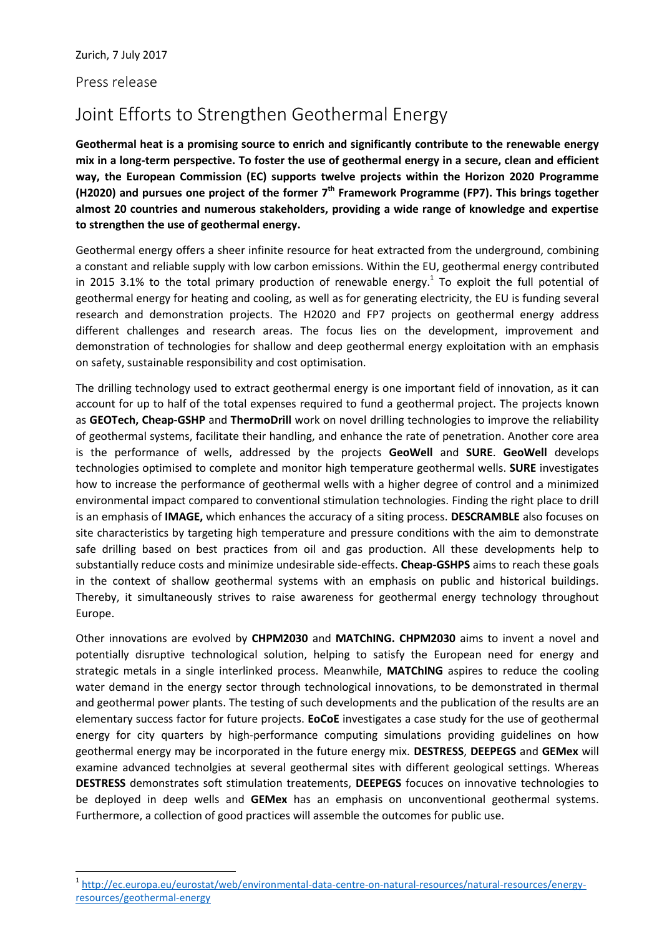Press release

 $\overline{\phantom{a}}$ 

## Joint Efforts to Strengthen Geothermal Energy

**Geothermal heat is a promising source to enrich and significantly contribute to the renewable energy mix in a long-term perspective. To foster the use of geothermal energy in a secure, clean and efficient way, the European Commission (EC) supports twelve projects within the Horizon 2020 Programme (H2020) and pursues one project of the former 7 th Framework Programme (FP7). This brings together almost 20 countries and numerous stakeholders, providing a wide range of knowledge and expertise to strengthen the use of geothermal energy.** 

Geothermal energy offers a sheer infinite resource for heat extracted from the underground, combining a constant and reliable supply with low carbon emissions. Within the EU, geothermal energy contributed in 2015 3.1% to the total primary production of renewable energy.<sup>1</sup> To exploit the full potential of geothermal energy for heating and cooling, as well as for generating electricity, the EU is funding several research and demonstration projects. The H2020 and FP7 projects on geothermal energy address different challenges and research areas. The focus lies on the development, improvement and demonstration of technologies for shallow and deep geothermal energy exploitation with an emphasis on safety, sustainable responsibility and cost optimisation.

The drilling technology used to extract geothermal energy is one important field of innovation, as it can account for up to half of the total expenses required to fund a geothermal project. The projects known as **GEOTech, Cheap-GSHP** and **ThermoDrill** work on novel drilling technologies to improve the reliability of geothermal systems, facilitate their handling, and enhance the rate of penetration. Another core area is the performance of wells, addressed by the projects **GeoWell** and **SURE**. **GeoWell** develops technologies optimised to complete and monitor high temperature geothermal wells. **SURE** investigates how to increase the performance of geothermal wells with a higher degree of control and a minimized environmental impact compared to conventional stimulation technologies. Finding the right place to drill is an emphasis of **IMAGE,** which enhances the accuracy of a siting process. **DESCRAMBLE** also focuses on site characteristics by targeting high temperature and pressure conditions with the aim to demonstrate safe drilling based on best practices from oil and gas production. All these developments help to substantially reduce costs and minimize undesirable side-effects. **Cheap-GSHPS** aims to reach these goals in the context of shallow geothermal systems with an emphasis on public and historical buildings. Thereby, it simultaneously strives to raise awareness for geothermal energy technology throughout Europe.

Other innovations are evolved by **CHPM2030** and **MATChING. CHPM2030** aims to invent a novel and potentially disruptive technological solution, helping to satisfy the European need for energy and strategic metals in a single interlinked process. Meanwhile, **MATChING** aspires to reduce the cooling water demand in the energy sector through technological innovations, to be demonstrated in thermal and geothermal power plants. The testing of such developments and the publication of the results are an elementary success factor for future projects. **EoCoE** investigates a case study for the use of geothermal energy for city quarters by high-performance computing simulations providing guidelines on how geothermal energy may be incorporated in the future energy mix. **DESTRESS**, **DEEPEGS** and **GEMex** will examine advanced technolgies at several geothermal sites with different geological settings. Whereas **DESTRESS** demonstrates soft stimulation treatements, **DEEPEGS** focuces on innovative technologies to be deployed in deep wells and **GEMex** has an emphasis on unconventional geothermal systems. Furthermore, a collection of good practices will assemble the outcomes for public use.

<sup>1</sup> [http://ec.europa.eu/eurostat/web/environmental-data-centre-on-natural-resources/natural-resources/energy](http://ec.europa.eu/eurostat/web/environmental-data-centre-on-natural-resources/natural-resources/energy-resources/geothermal-energy)[resources/geothermal-energy](http://ec.europa.eu/eurostat/web/environmental-data-centre-on-natural-resources/natural-resources/energy-resources/geothermal-energy)